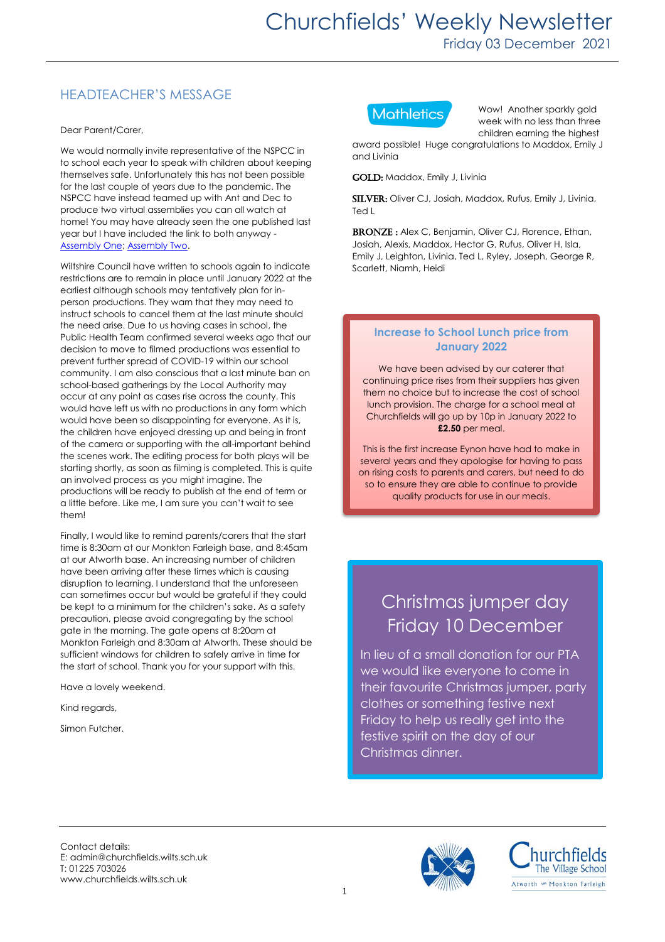## HEADTEACHER'S MESSAGE

Dear Parent/Carer,

We would normally invite representative of the NSPCC in to school each year to speak with children about keeping themselves safe. Unfortunately this has not been possible for the last couple of years due to the pandemic. The NSPCC have instead teamed up with Ant and Dec to produce two virtual assemblies you can all watch at home! You may have already seen the one published last year but I have included the link to both anyway - [Assembly One;](https://www.youtube.com/watch?v=qm0kccbZpYY) [Assembly Two.](https://www.youtube.com/watch?v=JwrnbkYy1nY)

Wiltshire Council have written to schools again to indicate restrictions are to remain in place until January 2022 at the earliest although schools may tentatively plan for inperson productions. They warn that they may need to instruct schools to cancel them at the last minute should the need arise. Due to us having cases in school, the Public Health Team confirmed several weeks ago that our decision to move to filmed productions was essential to prevent further spread of COVID-19 within our school community. I am also conscious that a last minute ban on school-based gatherings by the Local Authority may occur at any point as cases rise across the county. This would have left us with no productions in any form which would have been so disappointing for everyone. As it is, the children have enjoyed dressing up and being in front of the camera or supporting with the all-important behind the scenes work. The editing process for both plays will be starting shortly, as soon as filming is completed. This is quite an involved process as you might imagine. The productions will be ready to publish at the end of term or a little before. Like me, I am sure you can't wait to see them!

Finally, I would like to remind parents/carers that the start time is 8:30am at our Monkton Farleigh base, and 8:45am at our Atworth base. An increasing number of children have been arriving after these times which is causing disruption to learning. I understand that the unforeseen can sometimes occur but would be grateful if they could be kept to a minimum for the children's sake. As a safety precaution, please avoid congregating by the school gate in the morning. The gate opens at 8:20am at Monkton Farleigh and 8:30am at Atworth. These should be sufficient windows for children to safely arrive in time for the start of school. Thank you for your support with this.

Have a lovely weekend.

Kind regards,

Simon Futcher.



Wow! Another sparkly gold week with no less than three children earning the highest

award possible! Huge congratulations to Maddox, Emily J and Livinia

GOLD: Maddox, Emily J, Livinia

SILVER: Oliver CJ, Josiah, Maddox, Rufus, Emily J, Livinia, Ted L

BRONZE: Alex C, Benjamin, Oliver CJ, Florence, Ethan, Josiah, Alexis, Maddox, Hector G, Rufus, Oliver H, Isla, Emily J, Leighton, Livinia, Ted L, Ryley, Joseph, George R, Scarlett, Niamh, Heidi

### **Increase to School Lunch price from January 2022**

We have been advised by our caterer that continuing price rises from their suppliers has given them no choice but to increase the cost of school lunch provision. The charge for a school meal at Churchfields will go up by 10p in January 2022 to **£2.50** per meal.

This is the first increase Eynon have had to make in several years and they apologise for having to pass on rising costs to parents and carers, but need to do so to ensure they are able to continue to provide quality products for use in our meals.

# Christmas jumper day Friday 10 December

In lieu of a small donation for our PTA we would like everyone to come in their favourite Christmas jumper, party clothes or something festive next Friday to help us really get into the festive spirit on the day of our Christmas dinner.

Contact details: E: admin@churchfields.wilts.sch.uk T: 01225 703026 www.churchfields.wilts.sch.uk



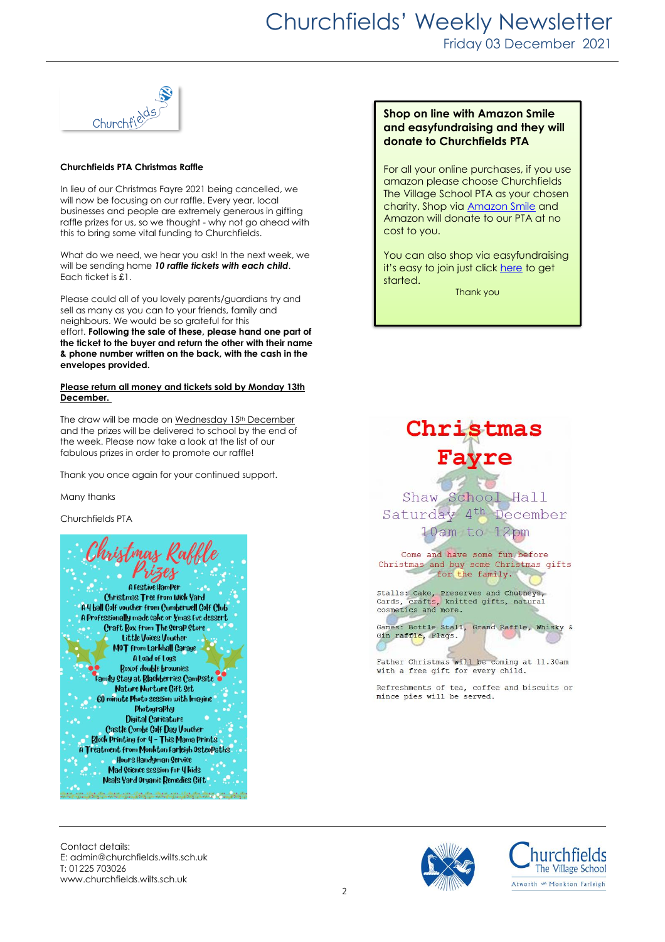

#### **Churchfields PTA Christmas Raffle**

In lieu of our Christmas Fayre 2021 being cancelled, we will now be focusing on our raffle. Every year, local businesses and people are extremely generous in gifting raffle prizes for us, so we thought - why not go ahead with this to bring some vital funding to Churchfields.

What do we need, we hear you ask! In the next week, we will be sending home *10 raffle tickets with each child*. Each ticket is £1.

Please could all of you lovely parents/guardians try and sell as many as you can to your friends, family and neighbours. We would be so grateful for this effort. **Following the sale of these, please hand one part of the ticket to the buyer and return the other with their name & phone number written on the back, with the cash in the envelopes provided.** 

#### **Please return all money and tickets sold by Monday 13th December.**

The draw will be made on Wednesday 15<sup>th</sup> December and the prizes will be delivered to school by the end of the week. Please now take a look at the list of our fabulous prizes in order to promote our raffle!

Thank you once again for your continued support.

Many thanks

Churchfields PTA



#### **Shop on line with Amazon Smile and easyfundraising and they will donate to Churchfields PTA**

For all your online purchases, if you use amazon please choose Churchfields The Village School PTA as your chosen charity. Shop via [Amazon](https://smile.amazon.co.uk/gp/chpf/homepage?orig=%2F) Smile and Amazon will donate to our PTA at no cost to you.

You can also shop via easyfundraising it's easy to join just clic[k here](https://www.easyfundraising.org.uk/causes/churchfieldspta/?q=Churchfield&cat=cause-autosuggest) to get started. Thank you



Shaw School Hall Saturday 4<sup>th</sup> December 10am to 12pm

Come and have some fun before Christmas and buy some Christmas gifts for the family.

Stalls: Cake, Preserves and Chutneys,<br>Cards, crafts, knitted gifts, natural<br>cosmetics and more.



Father Christmas will be coming at 11.30am with a free gift for every child.

Refreshments of tea, coffee and biscuits or mince pies will be served.

Contact details: E: admin@churchfields.wilts.sch.uk T: 01225 703026 www.churchfields.wilts.sch.uk